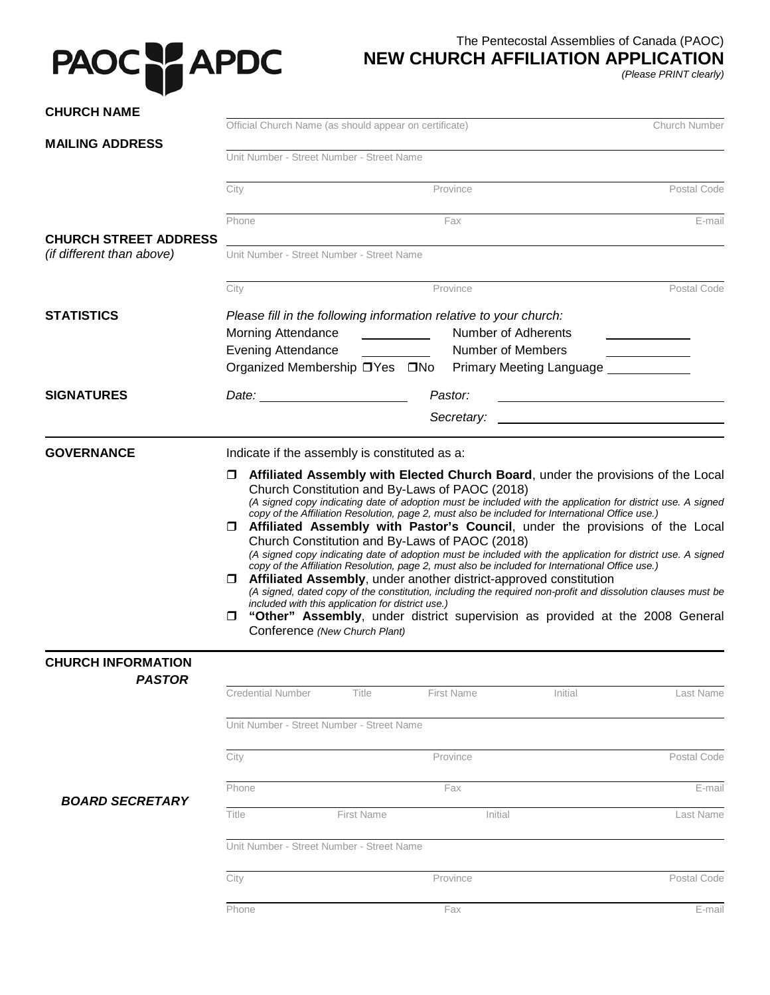## PAOC PAPDC

## The Pentecostal Assemblies of Canada (PAOC)

## **NEW CHURCH AFFILIATION APPLICATION**

*(Please PRINT clearly)* 

| <b>CHURCH NAME</b>                                        | Official Church Name (as should appear on certificate)<br>Church Number                                                                                                                                                              |                                                                                                                                                                                                                                                                                                                                                                               |                                                                                                                                                                                                                                                                                                                                                                                                                                                                                                                                                                                                          |  |
|-----------------------------------------------------------|--------------------------------------------------------------------------------------------------------------------------------------------------------------------------------------------------------------------------------------|-------------------------------------------------------------------------------------------------------------------------------------------------------------------------------------------------------------------------------------------------------------------------------------------------------------------------------------------------------------------------------|----------------------------------------------------------------------------------------------------------------------------------------------------------------------------------------------------------------------------------------------------------------------------------------------------------------------------------------------------------------------------------------------------------------------------------------------------------------------------------------------------------------------------------------------------------------------------------------------------------|--|
| <b>MAILING ADDRESS</b>                                    |                                                                                                                                                                                                                                      |                                                                                                                                                                                                                                                                                                                                                                               |                                                                                                                                                                                                                                                                                                                                                                                                                                                                                                                                                                                                          |  |
|                                                           | Unit Number - Street Number - Street Name                                                                                                                                                                                            |                                                                                                                                                                                                                                                                                                                                                                               |                                                                                                                                                                                                                                                                                                                                                                                                                                                                                                                                                                                                          |  |
|                                                           | City                                                                                                                                                                                                                                 | Province                                                                                                                                                                                                                                                                                                                                                                      | Postal Code                                                                                                                                                                                                                                                                                                                                                                                                                                                                                                                                                                                              |  |
|                                                           | Phone                                                                                                                                                                                                                                | Fax                                                                                                                                                                                                                                                                                                                                                                           | E-mail                                                                                                                                                                                                                                                                                                                                                                                                                                                                                                                                                                                                   |  |
| <b>CHURCH STREET ADDRESS</b><br>(if different than above) | Unit Number - Street Number - Street Name                                                                                                                                                                                            |                                                                                                                                                                                                                                                                                                                                                                               |                                                                                                                                                                                                                                                                                                                                                                                                                                                                                                                                                                                                          |  |
|                                                           | City                                                                                                                                                                                                                                 | Province                                                                                                                                                                                                                                                                                                                                                                      | Postal Code                                                                                                                                                                                                                                                                                                                                                                                                                                                                                                                                                                                              |  |
| <b>STATISTICS</b>                                         | <b>Morning Attendance</b><br><b>Evening Attendance</b><br>Organized Membership □ Yes □ No                                                                                                                                            | Please fill in the following information relative to your church:<br>Number of Adherents<br><b>Number of Members</b>                                                                                                                                                                                                                                                          | Primary Meeting Language ____________                                                                                                                                                                                                                                                                                                                                                                                                                                                                                                                                                                    |  |
| <b>SIGNATURES</b>                                         | Date: <u>with the set of the set of the set of the set of the set of the set of the set of the set of the set of the set of the set of the set of the set of the set of the set of the set of the set of the set of the set of t</u> | Pastor:                                                                                                                                                                                                                                                                                                                                                                       |                                                                                                                                                                                                                                                                                                                                                                                                                                                                                                                                                                                                          |  |
|                                                           |                                                                                                                                                                                                                                      | Secretary:                                                                                                                                                                                                                                                                                                                                                                    |                                                                                                                                                                                                                                                                                                                                                                                                                                                                                                                                                                                                          |  |
|                                                           | $\Box$<br>$\Box$<br>included with this application for district use.)<br>$\Box$<br>Conference (New Church Plant)                                                                                                                     | Church Constitution and By-Laws of PAOC (2018)<br>copy of the Affiliation Resolution, page 2, must also be included for International Office use.)<br>Church Constitution and By-Laws of PAOC (2018)<br>copy of the Affiliation Resolution, page 2, must also be included for International Office use.)<br>Affiliated Assembly, under another district-approved constitution | Affiliated Assembly with Elected Church Board, under the provisions of the Local<br>(A signed copy indicating date of adoption must be included with the application for district use. A signed<br><b>I Affiliated Assembly with Pastor's Council</b> , under the provisions of the Local<br>(A signed copy indicating date of adoption must be included with the application for district use. A signed<br>(A signed, dated copy of the constitution, including the required non-profit and dissolution clauses must be<br>"Other" Assembly, under district supervision as provided at the 2008 General |  |
| <b>CHURCH INFORMATION</b><br><b>PASTOR</b>                |                                                                                                                                                                                                                                      |                                                                                                                                                                                                                                                                                                                                                                               |                                                                                                                                                                                                                                                                                                                                                                                                                                                                                                                                                                                                          |  |
|                                                           | <b>Credential Number</b><br>Title                                                                                                                                                                                                    | <b>First Name</b>                                                                                                                                                                                                                                                                                                                                                             | Initial<br>Last Name                                                                                                                                                                                                                                                                                                                                                                                                                                                                                                                                                                                     |  |
|                                                           | Unit Number - Street Number - Street Name                                                                                                                                                                                            |                                                                                                                                                                                                                                                                                                                                                                               |                                                                                                                                                                                                                                                                                                                                                                                                                                                                                                                                                                                                          |  |
|                                                           | City                                                                                                                                                                                                                                 | Province                                                                                                                                                                                                                                                                                                                                                                      | Postal Code                                                                                                                                                                                                                                                                                                                                                                                                                                                                                                                                                                                              |  |
|                                                           | Phone                                                                                                                                                                                                                                | Fax                                                                                                                                                                                                                                                                                                                                                                           | E-mail                                                                                                                                                                                                                                                                                                                                                                                                                                                                                                                                                                                                   |  |
| <b>BOARD SECRETARY</b>                                    | <b>First Name</b><br>Title                                                                                                                                                                                                           | Initial                                                                                                                                                                                                                                                                                                                                                                       | Last Name                                                                                                                                                                                                                                                                                                                                                                                                                                                                                                                                                                                                |  |
|                                                           | Unit Number - Street Number - Street Name                                                                                                                                                                                            |                                                                                                                                                                                                                                                                                                                                                                               |                                                                                                                                                                                                                                                                                                                                                                                                                                                                                                                                                                                                          |  |
|                                                           | City                                                                                                                                                                                                                                 | Province                                                                                                                                                                                                                                                                                                                                                                      | Postal Code                                                                                                                                                                                                                                                                                                                                                                                                                                                                                                                                                                                              |  |
|                                                           |                                                                                                                                                                                                                                      |                                                                                                                                                                                                                                                                                                                                                                               |                                                                                                                                                                                                                                                                                                                                                                                                                                                                                                                                                                                                          |  |